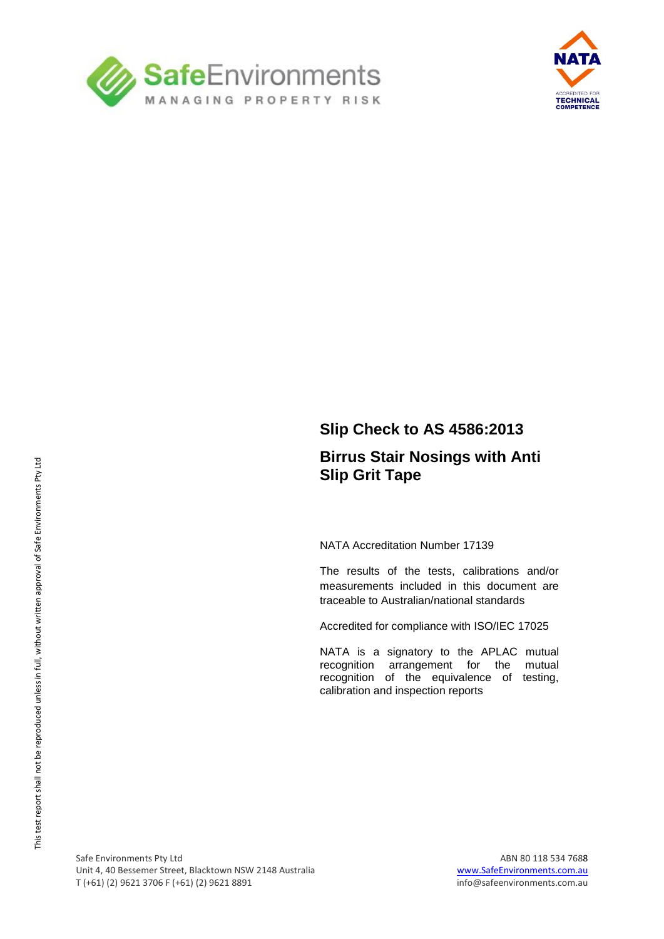



### **Slip Check to AS 4586:2013**

#### **Birrus Stair Nosings with Anti Slip Grit Tape**

NATA Accreditation Number 17139

The results of the tests, calibrations and/or measurements included in this document are traceable to Australian/national standards

Accredited for compliance with ISO/IEC 17025

NATA is a signatory to the APLAC mutual recognition arrangement for the mutual recognition of the equivalence of testing, calibration and inspection reports